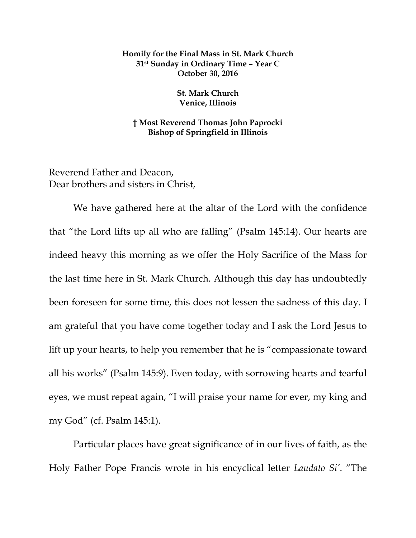## **Homily for the Final Mass in St. Mark Church 31st Sunday in Ordinary Time – Year C October 30, 2016**

**St. Mark Church Venice, Illinois**

**† Most Reverend Thomas John Paprocki Bishop of Springfield in Illinois**

Reverend Father and Deacon, Dear brothers and sisters in Christ,

We have gathered here at the altar of the Lord with the confidence that "the Lord lifts up all who are falling" (Psalm 145:14). Our hearts are indeed heavy this morning as we offer the Holy Sacrifice of the Mass for the last time here in St. Mark Church. Although this day has undoubtedly been foreseen for some time, this does not lessen the sadness of this day. I am grateful that you have come together today and I ask the Lord Jesus to lift up your hearts, to help you remember that he is "compassionate toward all his works" (Psalm 145:9). Even today, with sorrowing hearts and tearful eyes, we must repeat again, "I will praise your name for ever, my king and my God" (cf. Psalm 145:1).

Particular places have great significance of in our lives of faith, as the Holy Father Pope Francis wrote in his encyclical letter *Laudato Si'*. "The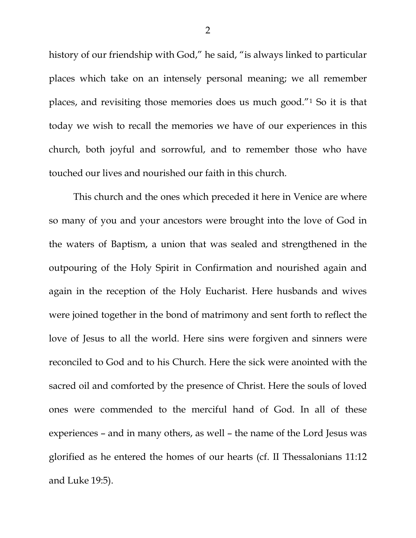history of our friendship with God," he said, "is always linked to particular places which take on an intensely personal meaning; we all remember places, and revisiting those memories does us much good."[1](#page-4-0) So it is that today we wish to recall the memories we have of our experiences in this church, both joyful and sorrowful, and to remember those who have touched our lives and nourished our faith in this church.

This church and the ones which preceded it here in Venice are where so many of you and your ancestors were brought into the love of God in the waters of Baptism, a union that was sealed and strengthened in the outpouring of the Holy Spirit in Confirmation and nourished again and again in the reception of the Holy Eucharist. Here husbands and wives were joined together in the bond of matrimony and sent forth to reflect the love of Jesus to all the world. Here sins were forgiven and sinners were reconciled to God and to his Church. Here the sick were anointed with the sacred oil and comforted by the presence of Christ. Here the souls of loved ones were commended to the merciful hand of God. In all of these experiences – and in many others, as well – the name of the Lord Jesus was glorified as he entered the homes of our hearts (cf. II Thessalonians 11:12 and Luke 19:5).

2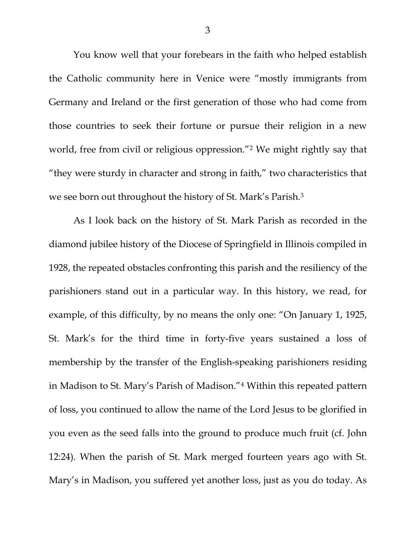You know well that your forebears in the faith who helped establish the Catholic community here in Venice were "mostly immigrants from Germany and Ireland or the first generation of those who had come from those countries to seek their fortune or pursue their religion in a new world, free from civil or religious oppression."<sup>[2](#page-4-1)</sup> We might rightly say that "they were sturdy in character and strong in faith," two characteristics that we see born out throughout the history of St. Mark's Parish.[3](#page-4-2)

As I look back on the history of St. Mark Parish as recorded in the diamond jubilee history of the Diocese of Springfield in Illinois compiled in 1928, the repeated obstacles confronting this parish and the resiliency of the parishioners stand out in a particular way. In this history, we read, for example, of this difficulty, by no means the only one: "On January 1, 1925, St. Mark's for the third time in forty-five years sustained a loss of membership by the transfer of the English-speaking parishioners residing in Madison to St. Mary's Parish of Madison."[4](#page-4-3) Within this repeated pattern of loss, you continued to allow the name of the Lord Jesus to be glorified in you even as the seed falls into the ground to produce much fruit (cf. John 12:24). When the parish of St. Mark merged fourteen years ago with St. Mary's in Madison, you suffered yet another loss, just as you do today. As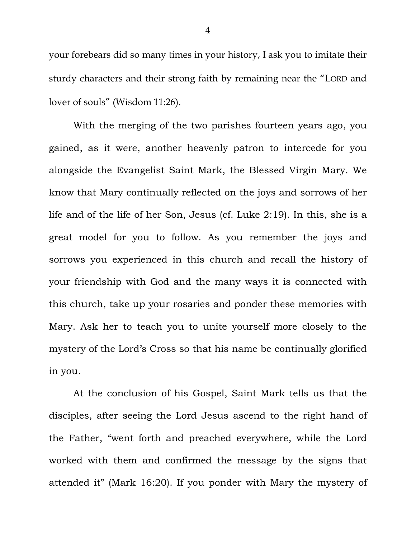your forebears did so many times in your history, I ask you to imitate their sturdy characters and their strong faith by remaining near the "LORD and lover of souls" (Wisdom 11:26).

With the merging of the two parishes fourteen years ago, you gained, as it were, another heavenly patron to intercede for you alongside the Evangelist Saint Mark, the Blessed Virgin Mary. We know that Mary continually reflected on the joys and sorrows of her life and of the life of her Son, Jesus (cf. Luke 2:19). In this, she is a great model for you to follow. As you remember the joys and sorrows you experienced in this church and recall the history of your friendship with God and the many ways it is connected with this church, take up your rosaries and ponder these memories with Mary. Ask her to teach you to unite yourself more closely to the mystery of the Lord's Cross so that his name be continually glorified in you.

At the conclusion of his Gospel, Saint Mark tells us that the disciples, after seeing the Lord Jesus ascend to the right hand of the Father, "went forth and preached everywhere, while the Lord worked with them and confirmed the message by the signs that attended it" (Mark 16:20). If you ponder with Mary the mystery of

4